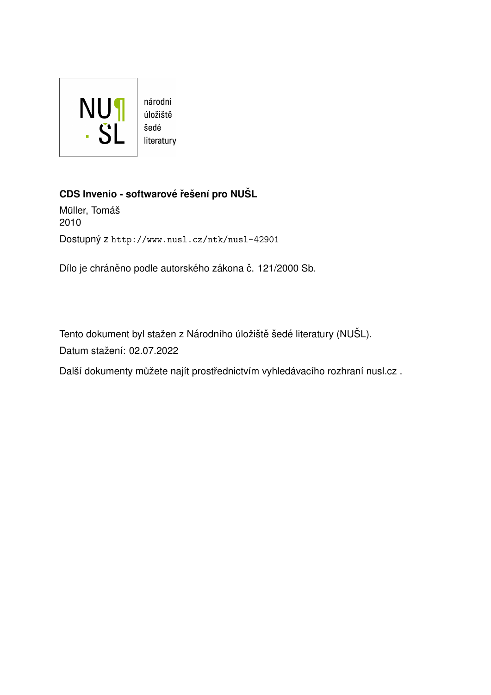

# **CDS Invenio - softwarové řešení pro NUŠL**

Müller, Tomáš 2010 Dostupný z <http://www.nusl.cz/ntk/nusl-42901>

Dílo je chráněno podle autorského zákona č. 121/2000 Sb.

Tento dokument byl stažen z Národního úložiště šedé literatury (NUŠL). Datum stažení: 02.07.2022

Další dokumenty můžete najít prostřednictvím vyhledávacího rozhraní [nusl.cz](http://www.nusl.cz) .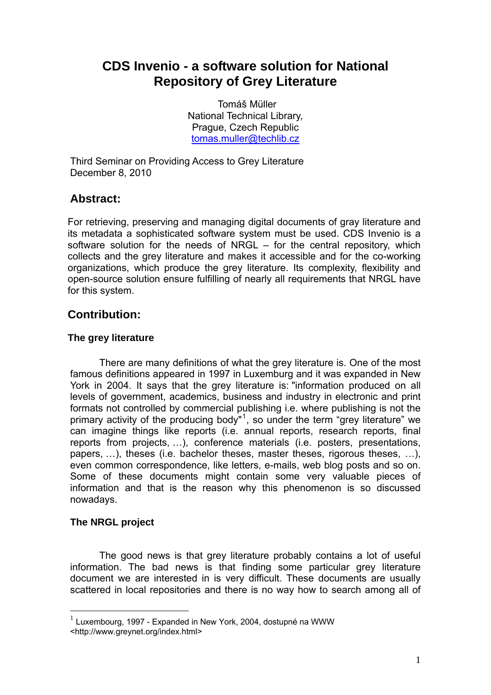# **CDS Invenio - a software solution for National Repository of Grey Literature**

Tomáš Müller National Technical Library, Prague, Czech Republic tomas.muller@techlib.cz

Third Seminar on Providing Access to Grey Literature December 8, 2010

# **Abstract:**

For retrieving, preserving and managing digital documents of gray literature and its metadata a sophisticated software system must be used. CDS Invenio is a software solution for the needs of NRGL – for the central repository, which collects and the grey literature and makes it accessible and for the co-working organizations, which produce the grey literature. Its complexity, flexibility and open-source solution ensure fulfilling of nearly all requirements that NRGL have for this system.

# **Contribution:**

### **The grey literature**

There are many definitions of what the grey literature is. One of the most famous definitions appeared in 1997 in Luxemburg and it was expanded in New York in 2004. It says that the grey literature is: "information produced on all levels of government, academics, business and industry in electronic and print formats not controlled by commercial publishing i.e. where publishing is not the primary activity of the producing body"<sup>1</sup>, so under the term "grey literature" we can imagine things like reports (i.e. annual reports, research reports, final reports from projects, …), conference materials (i.e. posters, presentations, papers, …), theses (i.e. bachelor theses, master theses, rigorous theses, …), even common correspondence, like letters, e-mails, web blog posts and so on. Some of these documents might contain some very valuable pieces of information and that is the reason why this phenomenon is so discussed nowadays.

### 0B**The NRGL project**

<u>.</u>

The good news is that grey literature probably contains a lot of useful information. The bad news is that finding some particular grey literature document we are interested in is very difficult. These documents are usually scattered in local repositories and there is no way how to search among all of

 $1$  Luxembourg. 1997 - Expanded in New York, 2004, dostupné na WWW <http://www.greynet.org/index.html>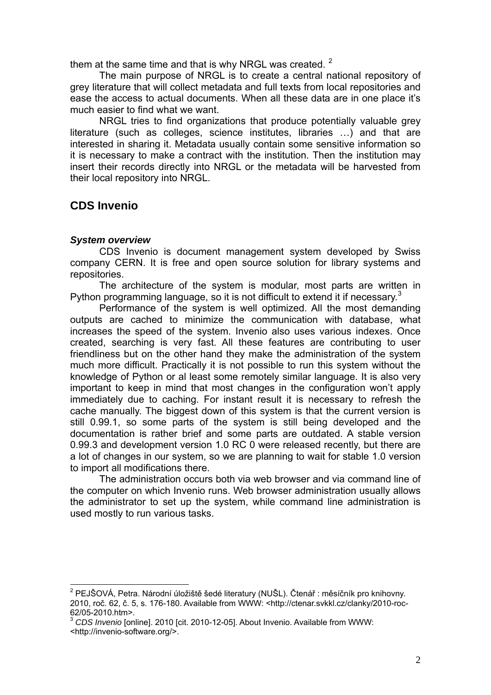them at the same time and that is why NRGL was created.  $^2$ 

The main purpose of NRGL is to create a central national repository of grey literature that will collect metadata and full texts from local repositories and ease the access to actual documents. When all these data are in one place it's much easier to find what we want.

NRGL tries to find organizations that produce potentially valuable grey literature (such as colleges, science institutes, libraries …) and that are interested in sharing it. Metadata usually contain some sensitive information so it is necessary to make a contract with the institution. Then the institution may insert their records directly into NRGL or the metadata will be harvested from their local repository into NRGL.

# 1B**CDS Invenio**

#### 3B*System overview*

CDS Invenio is document management system developed by Swiss company CERN. It is free and open source solution for library systems and repositories.

The architecture of the system is modular, most parts are written in Python programming language, so it is not difficult to extend it if necessary. $3$ 

Performance of the system is well optimized. All the most demanding outputs are cached to minimize the communication with database, what increases the speed of the system. Invenio also uses various indexes. Once created, searching is very fast. All these features are contributing to user friendliness but on the other hand they make the administration of the system much more difficult. Practically it is not possible to run this system without the knowledge of Python or al least some remotely similar language. It is also very important to keep in mind that most changes in the configuration won't apply immediately due to caching. For instant result it is necessary to refresh the cache manually. The biggest down of this system is that the current version is still 0.99.1, so some parts of the system is still being developed and the documentation is rather brief and some parts are outdated. A stable version 0.99.3 and development version 1.0 RC 0 were released recently, but there are a lot of changes in our system, so we are planning to wait for stable 1.0 version to import all modifications there.

The administration occurs both via web browser and via command line of the computer on which Invenio runs. Web browser administration usually allows the administrator to set up the system, while command line administration is used mostly to run various tasks.

1

<sup>&</sup>lt;sup>2</sup> PEJŠOVÁ, Petra. Národní úložiště šedé literatury (NUŠL). Čtenář: měsíčník pro knihovny. 2010, roč. 62, č. 5, s. 176-180. Available from WWW: <http://ctenar.svkkl.cz/clanky/2010-roc-62/05-2010.htm>.

<sup>3</sup> *CDS Invenio* [online]. 2010 [cit. 2010-12-05]. About Invenio. Available from WWW:

<sup>&</sup>lt;http://invenio-software.org/>.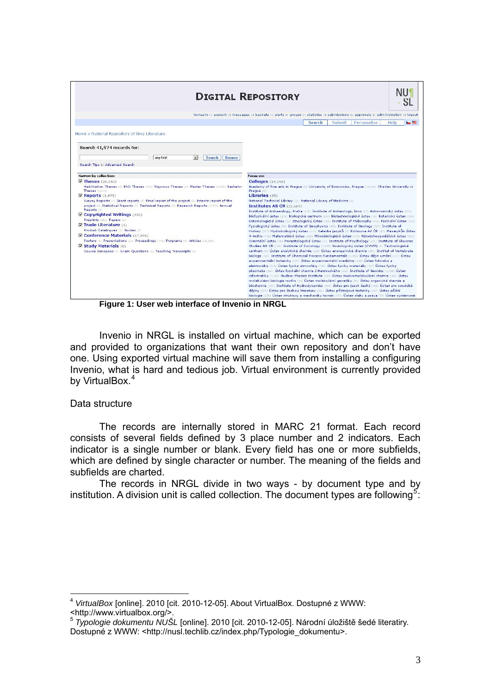|                                                                                                                                                                                                                       | <b>DIGITAL REPOSITORY</b>                                                                                                                                                                                                                                                                                                                                                                                                                                                                                                                                                                                                                                                              |
|-----------------------------------------------------------------------------------------------------------------------------------------------------------------------------------------------------------------------|----------------------------------------------------------------------------------------------------------------------------------------------------------------------------------------------------------------------------------------------------------------------------------------------------------------------------------------------------------------------------------------------------------------------------------------------------------------------------------------------------------------------------------------------------------------------------------------------------------------------------------------------------------------------------------------|
|                                                                                                                                                                                                                       | tomasm :: account :: messages :: baskets :: alerts :: groups :: statistics :: submissions :: approvals :: administration :: logout                                                                                                                                                                                                                                                                                                                                                                                                                                                                                                                                                     |
|                                                                                                                                                                                                                       | <b>Submit</b><br>Personalize<br><b>Search</b><br>Help<br><b>Designation</b>                                                                                                                                                                                                                                                                                                                                                                                                                                                                                                                                                                                                            |
| Home > National Repository of Grey Literature                                                                                                                                                                         |                                                                                                                                                                                                                                                                                                                                                                                                                                                                                                                                                                                                                                                                                        |
| Search 41,974 records for:                                                                                                                                                                                            |                                                                                                                                                                                                                                                                                                                                                                                                                                                                                                                                                                                                                                                                                        |
| any field<br>$\overline{\phantom{a}}$<br>Search<br><b>Browse</b>                                                                                                                                                      |                                                                                                                                                                                                                                                                                                                                                                                                                                                                                                                                                                                                                                                                                        |
| Search Tips :: Advanced Search                                                                                                                                                                                        |                                                                                                                                                                                                                                                                                                                                                                                                                                                                                                                                                                                                                                                                                        |
| Narrow by collection:                                                                                                                                                                                                 | Focus on:                                                                                                                                                                                                                                                                                                                                                                                                                                                                                                                                                                                                                                                                              |
| <b>V</b> Theses (20,053)<br>Habilitation Theses. (0) PhD Theses. (918) Rigorous Theses (0) Master Theses (9,662) Bachelor<br>Theses (9,473)                                                                           | <b>Colleges</b> (19,248)<br>Academy of fine arts in Praque (0) University of Economics, Praque (19,248) Charles University in<br>Prague (0)                                                                                                                                                                                                                                                                                                                                                                                                                                                                                                                                            |
| $\nabla$ Reports $(3,975)$<br>Survey Reports (0) Grant reports (0) Final report of the project (0) Interim report of the<br>project (0) Statistical Reports (0) Technical Reports (0) Research Reports (3,975) Annual | Libraries (35)<br>National Technical Library [35] National Library of Medicine (0)<br>Institutes AS CR (22.684)                                                                                                                                                                                                                                                                                                                                                                                                                                                                                                                                                                        |
| Reports (0)<br>Copyrighted Writings (852)<br>Preprints (852) Papers (0)                                                                                                                                               | Institute of Archaeology, Praha (178) Institute of Archeology, Brno (77) Astronomický ústav (213)<br>Biofyzikální ústav (276) Biologické centrum (121) Biotechnologický ústav (12) Botanický ústav (334)<br>Entomologický ústav (52) Etnologický ústav (365) Institute of Philosophy (466) Fyzikální ústav (323)                                                                                                                                                                                                                                                                                                                                                                       |
| $\nabla$ Trade Literature (0)                                                                                                                                                                                         | Fyziologický ústav (94) Institute of Geophysics (182) Institute of Geology (327) Institute of                                                                                                                                                                                                                                                                                                                                                                                                                                                                                                                                                                                          |
| Product Catalogues (0) Guides (0)<br>Conference Materials (17,094)                                                                                                                                                    | History (357) Hydrobiologický ústav (117) Katedra jazyků (0) Knihovna AV ČR (47) Masarykův Ústav                                                                                                                                                                                                                                                                                                                                                                                                                                                                                                                                                                                       |
| Posters (1) Presentations (23) Proceedings (745) Programs (0) Articles (16,325)                                                                                                                                       | + Archiv (478) Matematický ústav (295) Mikrobiologický ústav (415) Národohospodářský ústav (503)<br>Orientální ústav (16) Parazitologický ústav (12) Institute of Psychology (29)) Institute of Slavonic                                                                                                                                                                                                                                                                                                                                                                                                                                                                               |
| <b>V Study Materials</b> (0)<br>Course Synopses (0) Exam Questions (0) Teaching Transcripts (0)                                                                                                                       | Studies AS CR (102) Institute of Sociology (1,335) Sociologický ústav (CVVM) (1) Technologické<br>centrum (0) Ústav analytické chemie (229) Ústav anorganické chemie (380) Institut of Vertebrate<br>Biology (302) Institute of Chemical Process Fundamentals (1,016) Ústav dějin umění (157) Ústav<br>experimentální botaniky (107) Ústav experimentální medicíny (156) Ústav fotoniky a<br>elektroniky (615) Ústav fyziky atmosféry (196) Ústav fyziky materiálu (727) Ústav fyziky<br>plazmatu (364) Ústav fyzikální chemie J.Heyrovského (233) Institute of Geonics (1,038) Ústav<br>informatiky (1,285) Nuclear Physics Institute (520) Ústav makromolekulární chemie (388) Ústav |

**Figure 1: User web interface of Invenio in NRGL** 

Invenio in NRGL is installed on virtual machine, which can be exported and provided to organizations that want their own repository and don't have one. Using exported virtual machine will save them from installing a configuring Invenio, what is hard and tedious job. Virtual environment is currently provided by VirtualBox.<sup>4</sup>

#### Data structure

The records are internally stored in MARC 21 format. Each record consists of several fields defined by 3 place number and 2 indicators. Each indicator is a single number or blank. Every field has one or more subfields, which are defined by single character or number. The meaning of the fields and subfields are charted.

The records in NRGL divide in two ways - by document type and by institution. A division unit is called collection. The document types are following<sup>5</sup>:

<sup>1</sup> <sup>4</sup> *VirtualBox* [online]. 2010 [cit. 2010-12-05]. About VirtualBox. Dostupné z WWW: <http://www.virtualbox.org/>.

<sup>5</sup> *Typologie dokumentu NUŠL* [online]. 2010 [cit. 2010-12-05]. Národní úložiště šedé literatiry. Dostupné z WWW: <http://nusl.techlib.cz/index.php/Typologie\_dokumentu>.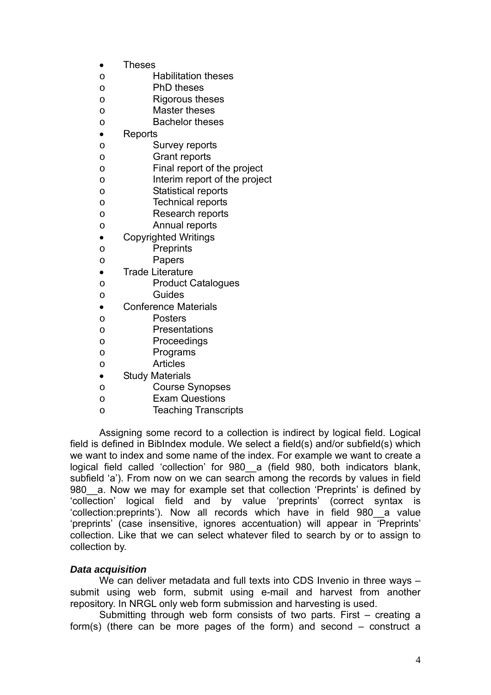- Theses
- o Habilitation theses
- o PhD theses
- o Rigorous theses
- o Master theses
- o Bachelor theses
- Reports
- o Survey reports
- o Grant reports
- o Final report of the project
- o Interim report of the project
- o Statistical reports
- o Technical reports
- o Research reports
- o Annual reports
- Copyrighted Writings
- o Preprints
- o Papers
- Trade Literature
- o Product Catalogues
- o Guides
- Conference Materials
- o Posters
- o Presentations
- o Proceedings
- o Programs
- o Articles
- Study Materials
- o Course Synopses
- o Exam Questions
- o Teaching Transcripts

Assigning some record to a collection is indirect by logical field. Logical field is defined in BibIndex module. We select a field(s) and/or subfield(s) which we want to index and some name of the index. For example we want to create a logical field called 'collection' for 980 a (field 980, both indicators blank, subfield 'a'). From now on we can search among the records by values in field 980 a. Now we may for example set that collection 'Preprints' is defined by 'collection' logical field and by value 'preprints' (correct syntax is 'collection:preprints'). Now all records which have in field 980\_\_a value 'preprints' (case insensitive, ignores accentuation) will appear in 'Preprints' collection. Like that we can select whatever filed to search by or to assign to collection by.

#### 4B*Data acquisition*

We can deliver metadata and full texts into CDS Invenio in three ways submit using web form, submit using e-mail and harvest from another repository. In NRGL only web form submission and harvesting is used.

Submitting through web form consists of two parts. First – creating a form(s) (there can be more pages of the form) and second – construct a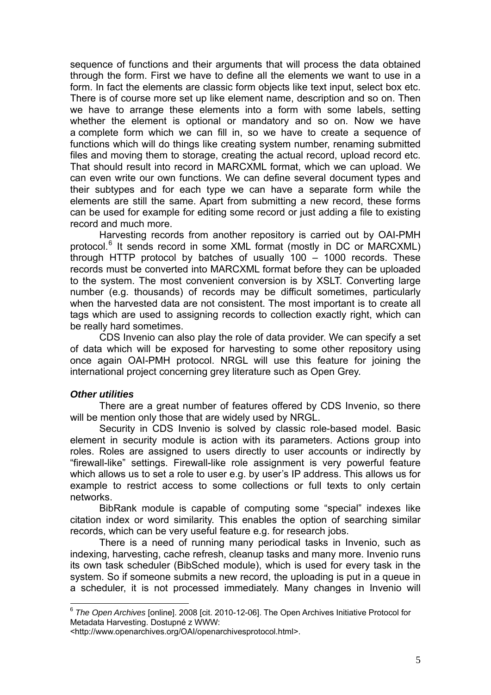sequence of functions and their arguments that will process the data obtained through the form. First we have to define all the elements we want to use in a form. In fact the elements are classic form objects like text input, select box etc. There is of course more set up like element name, description and so on. Then we have to arrange these elements into a form with some labels, setting whether the element is optional or mandatory and so on. Now we have a complete form which we can fill in, so we have to create a sequence of functions which will do things like creating system number, renaming submitted files and moving them to storage, creating the actual record, upload record etc. That should result into record in MARCXML format, which we can upload. We can even write our own functions. We can define several document types and their subtypes and for each type we can have a separate form while the elements are still the same. Apart from submitting a new record, these forms can be used for example for editing some record or just adding a file to existing record and much more.

Harvesting records from another repository is carried out by OAI-PMH protocol.<sup>6</sup> It sends record in some XML format (mostly in DC or MARCXML) through HTTP protocol by batches of usually 100 – 1000 records. These records must be converted into MARCXML format before they can be uploaded to the system. The most convenient conversion is by XSLT. Converting large number (e.g. thousands) of records may be difficult sometimes, particularly when the harvested data are not consistent. The most important is to create all tags which are used to assigning records to collection exactly right, which can be really hard sometimes.

CDS Invenio can also play the role of data provider. We can specify a set of data which will be exposed for harvesting to some other repository using once again OAI-PMH protocol. NRGL will use this feature for joining the international project concerning grey literature such as Open Grey.

#### 5B*Other utilities*

1

There are a great number of features offered by CDS Invenio, so there will be mention only those that are widely used by NRGL.

Security in CDS Invenio is solved by classic role-based model. Basic element in security module is action with its parameters. Actions group into roles. Roles are assigned to users directly to user accounts or indirectly by "firewall-like" settings. Firewall-like role assignment is very powerful feature which allows us to set a role to user e.g. by user's IP address. This allows us for example to restrict access to some collections or full texts to only certain networks.

BibRank module is capable of computing some "special" indexes like citation index or word similarity. This enables the option of searching similar records, which can be very useful feature e.g. for research jobs.

There is a need of running many periodical tasks in Invenio, such as indexing, harvesting, cache refresh, cleanup tasks and many more. Invenio runs its own task scheduler (BibSched module), which is used for every task in the system. So if someone submits a new record, the uploading is put in a queue in a scheduler, it is not processed immediately. Many changes in Invenio will

<sup>6</sup> *The Open Archives* [online]. 2008 [cit. 2010-12-06]. The Open Archives Initiative Protocol for Metadata Harvesting. Dostupné z WWW:

<sup>&</sup>lt;http://www.openarchives.org/OAI/openarchivesprotocol.html>.